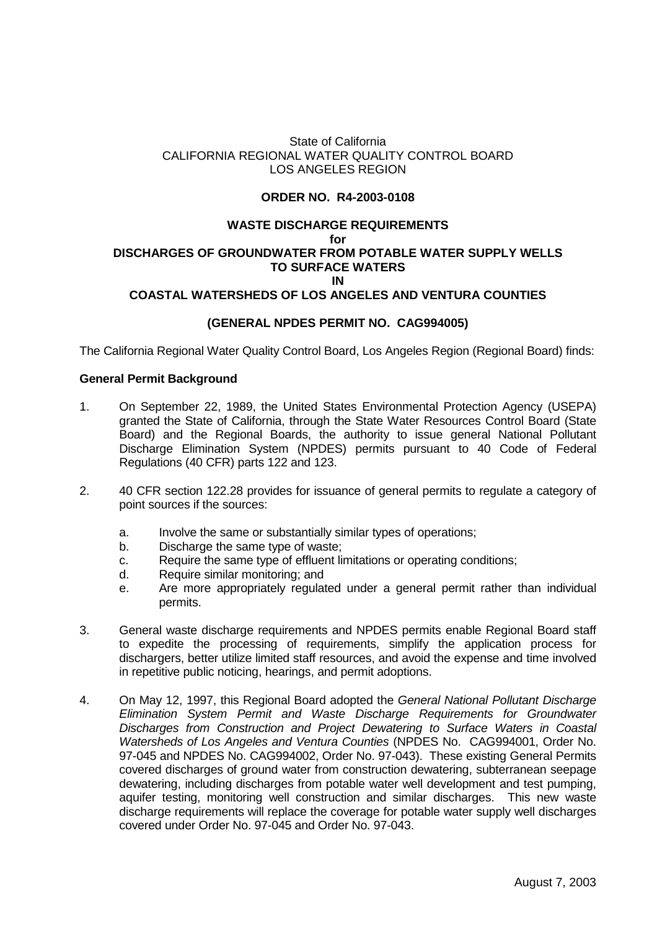# State of California CALIFORNIA REGIONAL WATER QUALITY CONTROL BOARD LOS ANGELES REGION

## **ORDER NO. R4-2003-0108**

#### **WASTE DISCHARGE REQUIREMENTS for DISCHARGES OF GROUNDWATER FROM POTABLE WATER SUPPLY WELLS TO SURFACE WATERS IN**

## **COASTAL WATERSHEDS OF LOS ANGELES AND VENTURA COUNTIES**

## **(GENERAL NPDES PERMIT NO. CAG994005)**

The California Regional Water Quality Control Board, Los Angeles Region (Regional Board) finds:

### **General Permit Background**

- 1. On September 22, 1989, the United States Environmental Protection Agency (USEPA) granted the State of California, through the State Water Resources Control Board (State Board) and the Regional Boards, the authority to issue general National Pollutant Discharge Elimination System (NPDES) permits pursuant to 40 Code of Federal Regulations (40 CFR) parts 122 and 123.
- 2. 40 CFR section 122.28 provides for issuance of general permits to regulate a category of point sources if the sources:
	- a. Involve the same or substantially similar types of operations;
	- b. Discharge the same type of waste;
	- c. Require the same type of effluent limitations or operating conditions;
	- d. Require similar monitoring; and
	- e. Are more appropriately regulated under a general permit rather than individual permits.
- 3. General waste discharge requirements and NPDES permits enable Regional Board staff to expedite the processing of requirements, simplify the application process for dischargers, better utilize limited staff resources, and avoid the expense and time involved in repetitive public noticing, hearings, and permit adoptions.
- 4. On May 12, 1997, this Regional Board adopted the General National Pollutant Discharge Elimination System Permit and Waste Discharge Requirements for Groundwater Discharges from Construction and Project Dewatering to Surface Waters in Coastal Watersheds of Los Angeles and Ventura Counties (NPDES No. CAG994001, Order No. 97-045 and NPDES No. CAG994002, Order No. 97-043). These existing General Permits covered discharges of ground water from construction dewatering, subterranean seepage dewatering, including discharges from potable water well development and test pumping, aquifer testing, monitoring well construction and similar discharges. This new waste discharge requirements will replace the coverage for potable water supply well discharges covered under Order No. 97-045 and Order No. 97-043.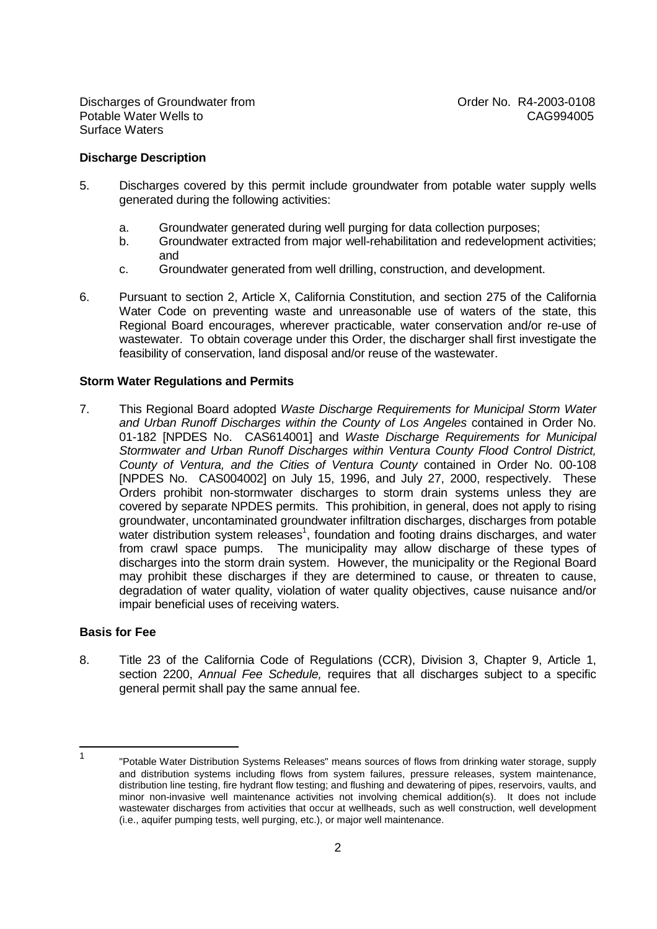#### **Discharge Description**

- 5. Discharges covered by this permit include groundwater from potable water supply wells generated during the following activities:
	- a. Groundwater generated during well purging for data collection purposes;
	- b. Groundwater extracted from major well-rehabilitation and redevelopment activities; and
	- c. Groundwater generated from well drilling, construction, and development.
- 6. Pursuant to section 2, Article X, California Constitution, and section 275 of the California Water Code on preventing waste and unreasonable use of waters of the state, this Regional Board encourages, wherever practicable, water conservation and/or re-use of wastewater. To obtain coverage under this Order, the discharger shall first investigate the feasibility of conservation, land disposal and/or reuse of the wastewater.

### **Storm Water Regulations and Permits**

7. This Regional Board adopted Waste Discharge Requirements for Municipal Storm Water and Urban Runoff Discharges within the County of Los Angeles contained in Order No. 01-182 [NPDES No. CAS614001] and Waste Discharge Requirements for Municipal Stormwater and Urban Runoff Discharges within Ventura County Flood Control District, County of Ventura, and the Cities of Ventura County contained in Order No. 00-108 [NPDES No. CAS004002] on July 15, 1996, and July 27, 2000, respectively. These Orders prohibit non-stormwater discharges to storm drain systems unless they are covered by separate NPDES permits. This prohibition, in general, does not apply to rising groundwater, uncontaminated groundwater infiltration discharges, discharges from potable water distribution system releases<sup>1</sup>, foundation and footing drains discharges, and water from crawl space pumps. The municipality may allow discharge of these types of discharges into the storm drain system. However, the municipality or the Regional Board may prohibit these discharges if they are determined to cause, or threaten to cause, degradation of water quality, violation of water quality objectives, cause nuisance and/or impair beneficial uses of receiving waters.

### **Basis for Fee**

8. Title 23 of the California Code of Regulations (CCR), Division 3, Chapter 9, Article 1, section 2200, Annual Fee Schedule, requires that all discharges subject to a specific general permit shall pay the same annual fee.

 $\frac{1}{1}$ "Potable Water Distribution Systems Releases" means sources of flows from drinking water storage, supply and distribution systems including flows from system failures, pressure releases, system maintenance, distribution line testing, fire hydrant flow testing; and flushing and dewatering of pipes, reservoirs, vaults, and minor non-invasive well maintenance activities not involving chemical addition(s). It does not include wastewater discharges from activities that occur at wellheads, such as well construction, well development (i.e., aquifer pumping tests, well purging, etc.), or major well maintenance.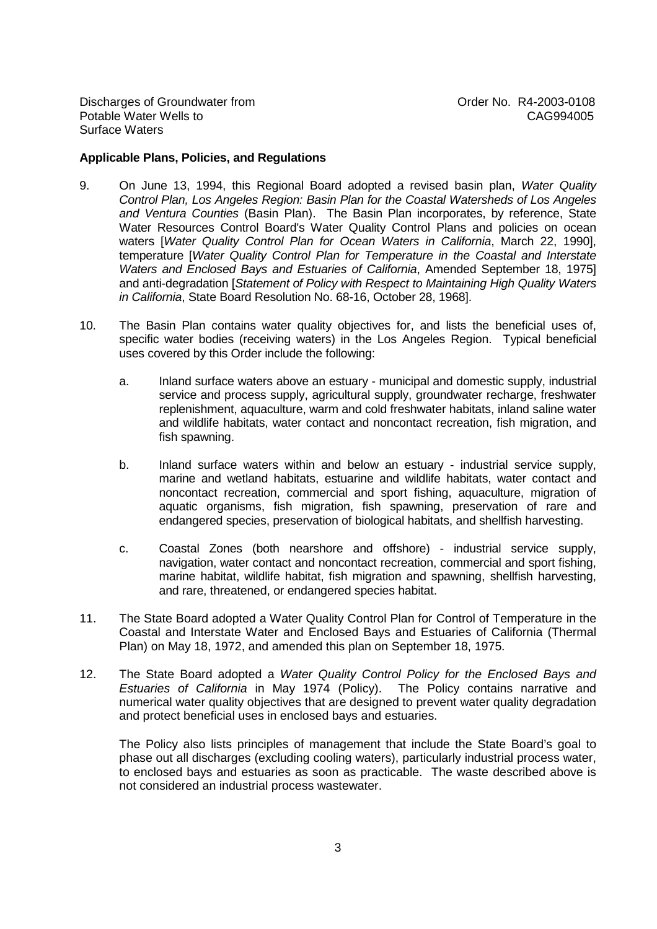#### **Applicable Plans, Policies, and Regulations**

- 9. On June 13, 1994, this Regional Board adopted a revised basin plan, Water Quality Control Plan, Los Angeles Region: Basin Plan for the Coastal Watersheds of Los Angeles and Ventura Counties (Basin Plan). The Basin Plan incorporates, by reference, State Water Resources Control Board's Water Quality Control Plans and policies on ocean waters [Water Quality Control Plan for Ocean Waters in California, March 22, 1990], temperature [Water Quality Control Plan for Temperature in the Coastal and Interstate Waters and Enclosed Bays and Estuaries of California, Amended September 18, 1975] and anti-degradation [Statement of Policy with Respect to Maintaining High Quality Waters in California, State Board Resolution No. 68-16, October 28, 1968].
- 10. The Basin Plan contains water quality objectives for, and lists the beneficial uses of, specific water bodies (receiving waters) in the Los Angeles Region. Typical beneficial uses covered by this Order include the following:
	- a. Inland surface waters above an estuary municipal and domestic supply, industrial service and process supply, agricultural supply, groundwater recharge, freshwater replenishment, aquaculture, warm and cold freshwater habitats, inland saline water and wildlife habitats, water contact and noncontact recreation, fish migration, and fish spawning.
	- b. Inland surface waters within and below an estuary industrial service supply, marine and wetland habitats, estuarine and wildlife habitats, water contact and noncontact recreation, commercial and sport fishing, aquaculture, migration of aquatic organisms, fish migration, fish spawning, preservation of rare and endangered species, preservation of biological habitats, and shellfish harvesting.
	- c. Coastal Zones (both nearshore and offshore) industrial service supply, navigation, water contact and noncontact recreation, commercial and sport fishing, marine habitat, wildlife habitat, fish migration and spawning, shellfish harvesting, and rare, threatened, or endangered species habitat.
- 11. The State Board adopted a Water Quality Control Plan for Control of Temperature in the Coastal and Interstate Water and Enclosed Bays and Estuaries of California (Thermal Plan) on May 18, 1972, and amended this plan on September 18, 1975.
- 12. The State Board adopted a Water Quality Control Policy for the Enclosed Bays and Estuaries of California in May 1974 (Policy). The Policy contains narrative and numerical water quality objectives that are designed to prevent water quality degradation and protect beneficial uses in enclosed bays and estuaries.

The Policy also lists principles of management that include the State Board's goal to phase out all discharges (excluding cooling waters), particularly industrial process water, to enclosed bays and estuaries as soon as practicable. The waste described above is not considered an industrial process wastewater.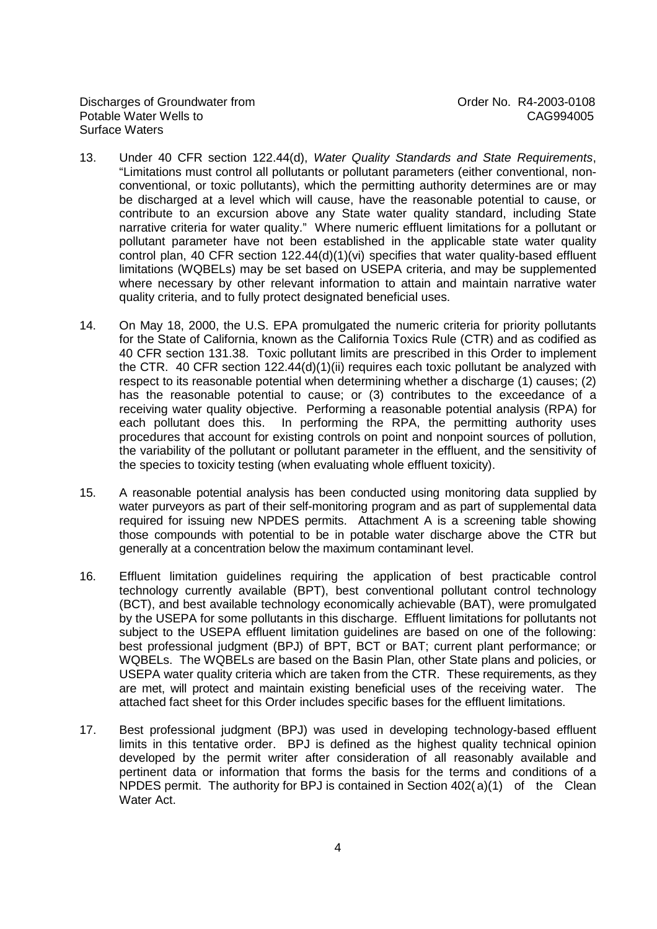- 13. Under 40 CFR section 122.44(d), Water Quality Standards and State Requirements, "Limitations must control all pollutants or pollutant parameters (either conventional, nonconventional, or toxic pollutants), which the permitting authority determines are or may be discharged at a level which will cause, have the reasonable potential to cause, or contribute to an excursion above any State water quality standard, including State narrative criteria for water quality." Where numeric effluent limitations for a pollutant or pollutant parameter have not been established in the applicable state water quality control plan, 40 CFR section 122.44(d)(1)(vi) specifies that water quality-based effluent limitations (WQBELs) may be set based on USEPA criteria, and may be supplemented where necessary by other relevant information to attain and maintain narrative water quality criteria, and to fully protect designated beneficial uses.
- 14. On May 18, 2000, the U.S. EPA promulgated the numeric criteria for priority pollutants for the State of California, known as the California Toxics Rule (CTR) and as codified as 40 CFR section 131.38. Toxic pollutant limits are prescribed in this Order to implement the CTR. 40 CFR section 122.44(d)(1)(ii) requires each toxic pollutant be analyzed with respect to its reasonable potential when determining whether a discharge (1) causes; (2) has the reasonable potential to cause; or (3) contributes to the exceedance of a receiving water quality objective. Performing a reasonable potential analysis (RPA) for each pollutant does this. In performing the RPA, the permitting authority uses procedures that account for existing controls on point and nonpoint sources of pollution, the variability of the pollutant or pollutant parameter in the effluent, and the sensitivity of the species to toxicity testing (when evaluating whole effluent toxicity).
- 15. A reasonable potential analysis has been conducted using monitoring data supplied by water purveyors as part of their self-monitoring program and as part of supplemental data required for issuing new NPDES permits. Attachment A is a screening table showing those compounds with potential to be in potable water discharge above the CTR but generally at a concentration below the maximum contaminant level.
- 16. Effluent limitation guidelines requiring the application of best practicable control technology currently available (BPT), best conventional pollutant control technology (BCT), and best available technology economically achievable (BAT), were promulgated by the USEPA for some pollutants in this discharge. Effluent limitations for pollutants not subject to the USEPA effluent limitation guidelines are based on one of the following: best professional judgment (BPJ) of BPT, BCT or BAT; current plant performance; or WQBELs. The WQBELs are based on the Basin Plan, other State plans and policies, or USEPA water quality criteria which are taken from the CTR. These requirements, as they are met, will protect and maintain existing beneficial uses of the receiving water. The attached fact sheet for this Order includes specific bases for the effluent limitations.
- 17. Best professional judgment (BPJ) was used in developing technology-based effluent limits in this tentative order. BPJ is defined as the highest quality technical opinion developed by the permit writer after consideration of all reasonably available and pertinent data or information that forms the basis for the terms and conditions of a NPDES permit. The authority for BPJ is contained in Section 402( a)(1) of the Clean Water Act.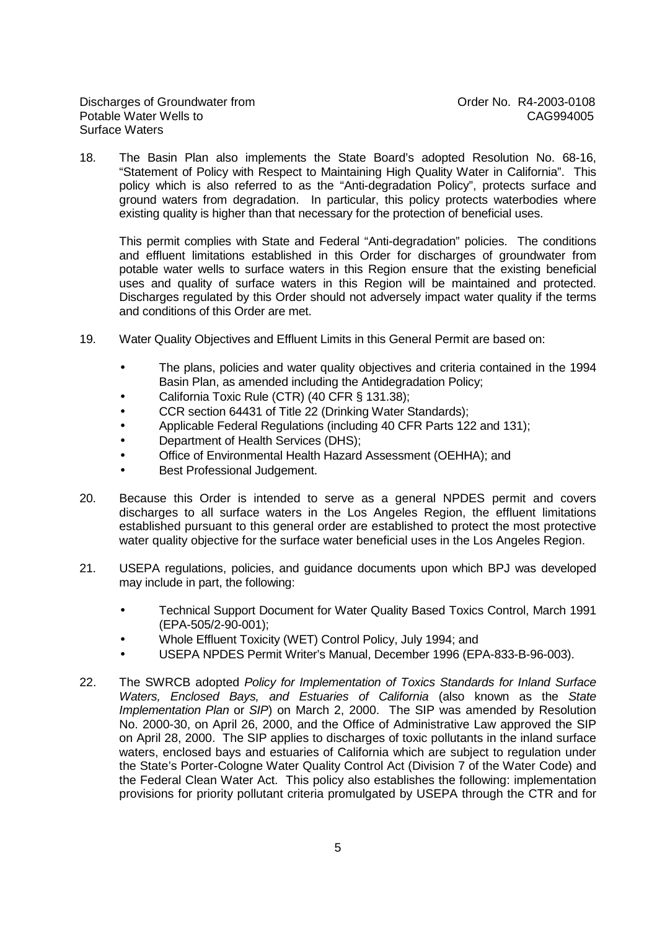18. The Basin Plan also implements the State Board's adopted Resolution No. 68-16, "Statement of Policy with Respect to Maintaining High Quality Water in California". This policy which is also referred to as the "Anti-degradation Policy", protects surface and ground waters from degradation. In particular, this policy protects waterbodies where existing quality is higher than that necessary for the protection of beneficial uses.

This permit complies with State and Federal "Anti-degradation" policies. The conditions and effluent limitations established in this Order for discharges of groundwater from potable water wells to surface waters in this Region ensure that the existing beneficial uses and quality of surface waters in this Region will be maintained and protected. Discharges regulated by this Order should not adversely impact water quality if the terms and conditions of this Order are met.

- 19. Water Quality Objectives and Effluent Limits in this General Permit are based on:
	- The plans, policies and water quality objectives and criteria contained in the 1994 Basin Plan, as amended including the Antidegradation Policy;
	- California Toxic Rule (CTR) (40 CFR § 131.38);
	- CCR section 64431 of Title 22 (Drinking Water Standards);
	- Applicable Federal Regulations (including 40 CFR Parts 122 and 131);
	- Department of Health Services (DHS);
	- Office of Environmental Health Hazard Assessment (OEHHA); and
	- Best Professional Judgement.
- 20. Because this Order is intended to serve as a general NPDES permit and covers discharges to all surface waters in the Los Angeles Region, the effluent limitations established pursuant to this general order are established to protect the most protective water quality objective for the surface water beneficial uses in the Los Angeles Region.
- 21. USEPA regulations, policies, and guidance documents upon which BPJ was developed may include in part, the following:
	- Technical Support Document for Water Quality Based Toxics Control, March 1991 (EPA-505/2-90-001);
	- Whole Effluent Toxicity (WET) Control Policy, July 1994; and
	- USEPA NPDES Permit Writer's Manual, December 1996 (EPA-833-B-96-003).
- 22. The SWRCB adopted Policy for Implementation of Toxics Standards for Inland Surface Waters, Enclosed Bays, and Estuaries of California (also known as the State Implementation Plan or SIP) on March 2, 2000. The SIP was amended by Resolution No. 2000-30, on April 26, 2000, and the Office of Administrative Law approved the SIP on April 28, 2000. The SIP applies to discharges of toxic pollutants in the inland surface waters, enclosed bays and estuaries of California which are subject to regulation under the State's Porter-Cologne Water Quality Control Act (Division 7 of the Water Code) and the Federal Clean Water Act. This policy also establishes the following: implementation provisions for priority pollutant criteria promulgated by USEPA through the CTR and for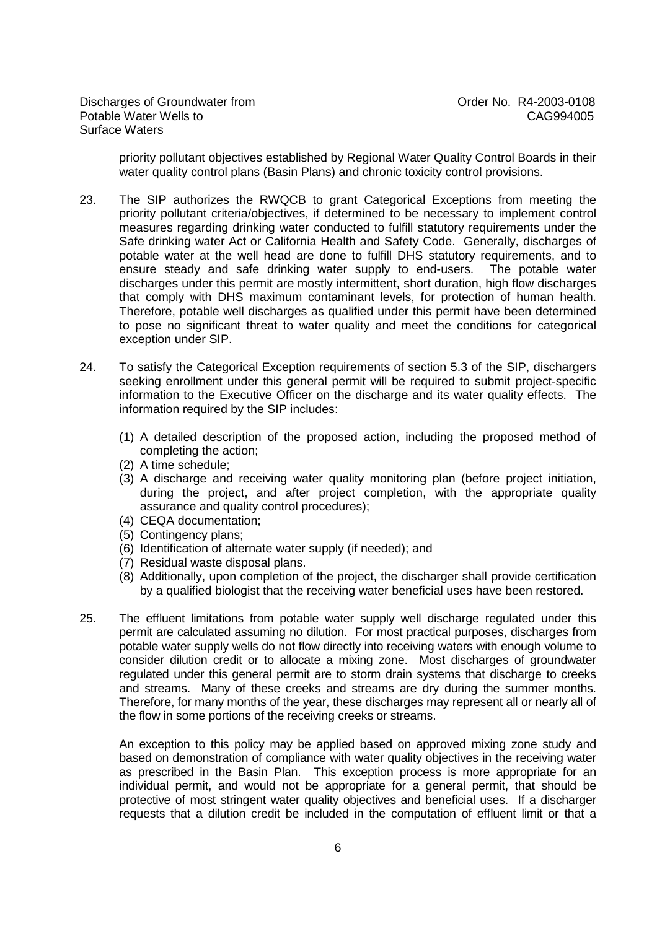priority pollutant objectives established by Regional Water Quality Control Boards in their water quality control plans (Basin Plans) and chronic toxicity control provisions.

- 23. The SIP authorizes the RWQCB to grant Categorical Exceptions from meeting the priority pollutant criteria/objectives, if determined to be necessary to implement control measures regarding drinking water conducted to fulfill statutory requirements under the Safe drinking water Act or California Health and Safety Code. Generally, discharges of potable water at the well head are done to fulfill DHS statutory requirements, and to ensure steady and safe drinking water supply to end-users. The potable water discharges under this permit are mostly intermittent, short duration, high flow discharges that comply with DHS maximum contaminant levels, for protection of human health. Therefore, potable well discharges as qualified under this permit have been determined to pose no significant threat to water quality and meet the conditions for categorical exception under SIP.
- 24. To satisfy the Categorical Exception requirements of section 5.3 of the SIP, dischargers seeking enrollment under this general permit will be required to submit project-specific information to the Executive Officer on the discharge and its water quality effects. The information required by the SIP includes:
	- (1) A detailed description of the proposed action, including the proposed method of completing the action;
	- (2) A time schedule;
	- (3) A discharge and receiving water quality monitoring plan (before project initiation, during the project, and after project completion, with the appropriate quality assurance and quality control procedures);
	- (4) CEQA documentation;
	- (5) Contingency plans;
	- (6) Identification of alternate water supply (if needed); and
	- (7) Residual waste disposal plans.
	- (8) Additionally, upon completion of the project, the discharger shall provide certification by a qualified biologist that the receiving water beneficial uses have been restored.
- 25. The effluent limitations from potable water supply well discharge regulated under this permit are calculated assuming no dilution. For most practical purposes, discharges from potable water supply wells do not flow directly into receiving waters with enough volume to consider dilution credit or to allocate a mixing zone. Most discharges of groundwater regulated under this general permit are to storm drain systems that discharge to creeks and streams. Many of these creeks and streams are dry during the summer months. Therefore, for many months of the year, these discharges may represent all or nearly all of the flow in some portions of the receiving creeks or streams.

An exception to this policy may be applied based on approved mixing zone study and based on demonstration of compliance with water quality objectives in the receiving water as prescribed in the Basin Plan. This exception process is more appropriate for an individual permit, and would not be appropriate for a general permit, that should be protective of most stringent water quality objectives and beneficial uses. If a discharger requests that a dilution credit be included in the computation of effluent limit or that a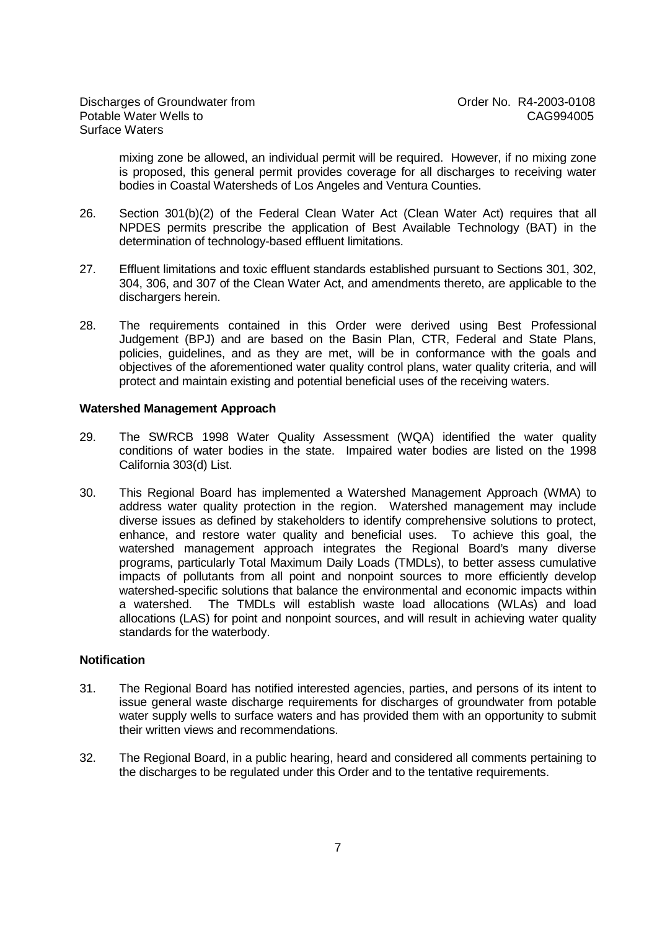mixing zone be allowed, an individual permit will be required. However, if no mixing zone is proposed, this general permit provides coverage for all discharges to receiving water bodies in Coastal Watersheds of Los Angeles and Ventura Counties.

- 26. Section 301(b)(2) of the Federal Clean Water Act (Clean Water Act) requires that all NPDES permits prescribe the application of Best Available Technology (BAT) in the determination of technology-based effluent limitations.
- 27. Effluent limitations and toxic effluent standards established pursuant to Sections 301, 302, 304, 306, and 307 of the Clean Water Act, and amendments thereto, are applicable to the dischargers herein.
- 28. The requirements contained in this Order were derived using Best Professional Judgement (BPJ) and are based on the Basin Plan, CTR, Federal and State Plans, policies, guidelines, and as they are met, will be in conformance with the goals and objectives of the aforementioned water quality control plans, water quality criteria, and will protect and maintain existing and potential beneficial uses of the receiving waters.

#### **Watershed Management Approach**

- 29. The SWRCB 1998 Water Quality Assessment (WQA) identified the water quality conditions of water bodies in the state. Impaired water bodies are listed on the 1998 California 303(d) List.
- 30. This Regional Board has implemented a Watershed Management Approach (WMA) to address water quality protection in the region. Watershed management may include diverse issues as defined by stakeholders to identify comprehensive solutions to protect, enhance, and restore water quality and beneficial uses. To achieve this goal, the watershed management approach integrates the Regional Board's many diverse programs, particularly Total Maximum Daily Loads (TMDLs), to better assess cumulative impacts of pollutants from all point and nonpoint sources to more efficiently develop watershed-specific solutions that balance the environmental and economic impacts within a watershed. The TMDLs will establish waste load allocations (WLAs) and load allocations (LAS) for point and nonpoint sources, and will result in achieving water quality standards for the waterbody.

#### **Notification**

- 31. The Regional Board has notified interested agencies, parties, and persons of its intent to issue general waste discharge requirements for discharges of groundwater from potable water supply wells to surface waters and has provided them with an opportunity to submit their written views and recommendations.
- 32. The Regional Board, in a public hearing, heard and considered all comments pertaining to the discharges to be regulated under this Order and to the tentative requirements.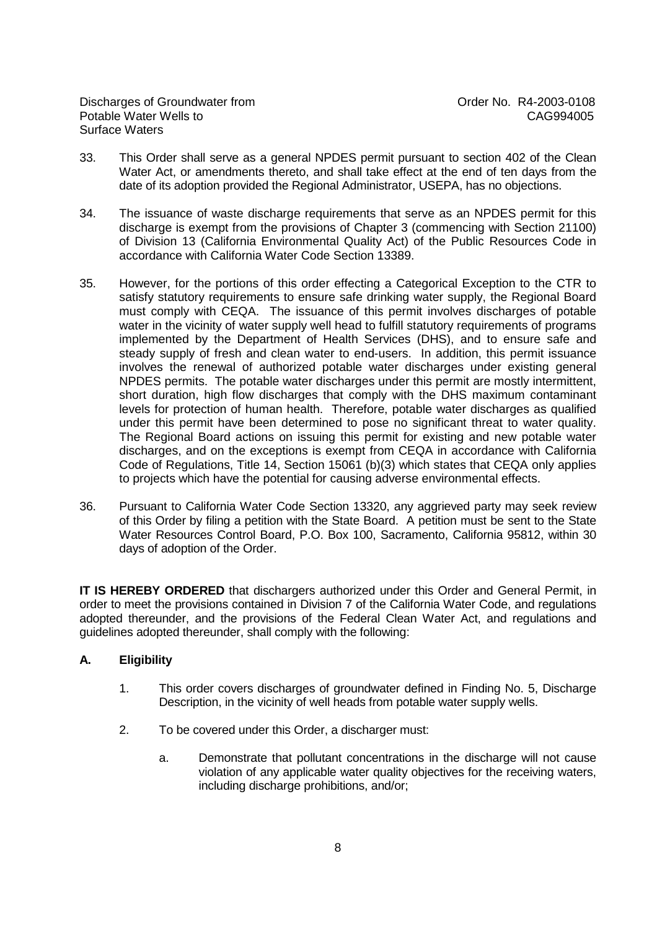- 33. This Order shall serve as a general NPDES permit pursuant to section 402 of the Clean Water Act, or amendments thereto, and shall take effect at the end of ten days from the date of its adoption provided the Regional Administrator, USEPA, has no objections.
- 34. The issuance of waste discharge requirements that serve as an NPDES permit for this discharge is exempt from the provisions of Chapter 3 (commencing with Section 21100) of Division 13 (California Environmental Quality Act) of the Public Resources Code in accordance with California Water Code Section 13389.
- 35. However, for the portions of this order effecting a Categorical Exception to the CTR to satisfy statutory requirements to ensure safe drinking water supply, the Regional Board must comply with CEQA. The issuance of this permit involves discharges of potable water in the vicinity of water supply well head to fulfill statutory requirements of programs implemented by the Department of Health Services (DHS), and to ensure safe and steady supply of fresh and clean water to end-users. In addition, this permit issuance involves the renewal of authorized potable water discharges under existing general NPDES permits. The potable water discharges under this permit are mostly intermittent, short duration, high flow discharges that comply with the DHS maximum contaminant levels for protection of human health. Therefore, potable water discharges as qualified under this permit have been determined to pose no significant threat to water quality. The Regional Board actions on issuing this permit for existing and new potable water discharges, and on the exceptions is exempt from CEQA in accordance with California Code of Regulations, Title 14, Section 15061 (b)(3) which states that CEQA only applies to projects which have the potential for causing adverse environmental effects.
- 36. Pursuant to California Water Code Section 13320, any aggrieved party may seek review of this Order by filing a petition with the State Board. A petition must be sent to the State Water Resources Control Board, P.O. Box 100, Sacramento, California 95812, within 30 days of adoption of the Order.

**IT IS HEREBY ORDERED** that dischargers authorized under this Order and General Permit, in order to meet the provisions contained in Division 7 of the California Water Code, and regulations adopted thereunder, and the provisions of the Federal Clean Water Act, and regulations and guidelines adopted thereunder, shall comply with the following:

### **A. Eligibility**

- 1. This order covers discharges of groundwater defined in Finding No. 5, Discharge Description, in the vicinity of well heads from potable water supply wells.
- 2. To be covered under this Order, a discharger must:
	- a. Demonstrate that pollutant concentrations in the discharge will not cause violation of any applicable water quality objectives for the receiving waters, including discharge prohibitions, and/or;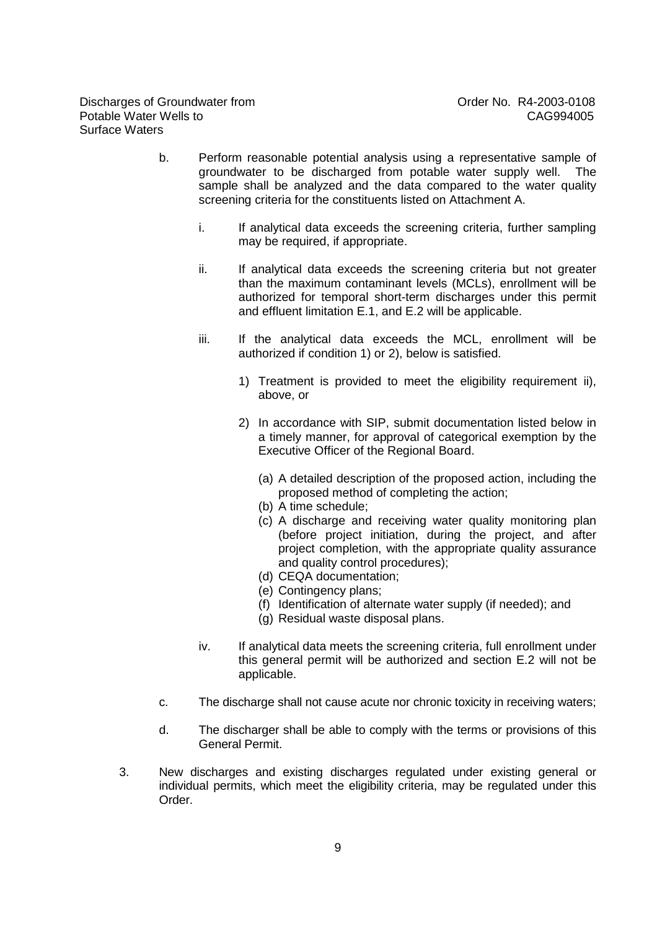- b. Perform reasonable potential analysis using a representative sample of groundwater to be discharged from potable water supply well. The sample shall be analyzed and the data compared to the water quality screening criteria for the constituents listed on Attachment A.
	- i. If analytical data exceeds the screening criteria, further sampling may be required, if appropriate.
	- ii. If analytical data exceeds the screening criteria but not greater than the maximum contaminant levels (MCLs), enrollment will be authorized for temporal short-term discharges under this permit and effluent limitation E.1, and E.2 will be applicable.
	- iii. If the analytical data exceeds the MCL, enrollment will be authorized if condition 1) or 2), below is satisfied.
		- 1) Treatment is provided to meet the eligibility requirement ii), above, or
		- 2) In accordance with SIP, submit documentation listed below in a timely manner, for approval of categorical exemption by the Executive Officer of the Regional Board.
			- (a) A detailed description of the proposed action, including the proposed method of completing the action;
			- (b) A time schedule;
			- (c) A discharge and receiving water quality monitoring plan (before project initiation, during the project, and after project completion, with the appropriate quality assurance and quality control procedures);
			- (d) CEQA documentation;
			- (e) Contingency plans;
			- (f) Identification of alternate water supply (if needed); and
			- (g) Residual waste disposal plans.
	- iv. If analytical data meets the screening criteria, full enrollment under this general permit will be authorized and section E.2 will not be applicable.
- c. The discharge shall not cause acute nor chronic toxicity in receiving waters;
- d. The discharger shall be able to comply with the terms or provisions of this General Permit.
- 3. New discharges and existing discharges regulated under existing general or individual permits, which meet the eligibility criteria, may be regulated under this Order.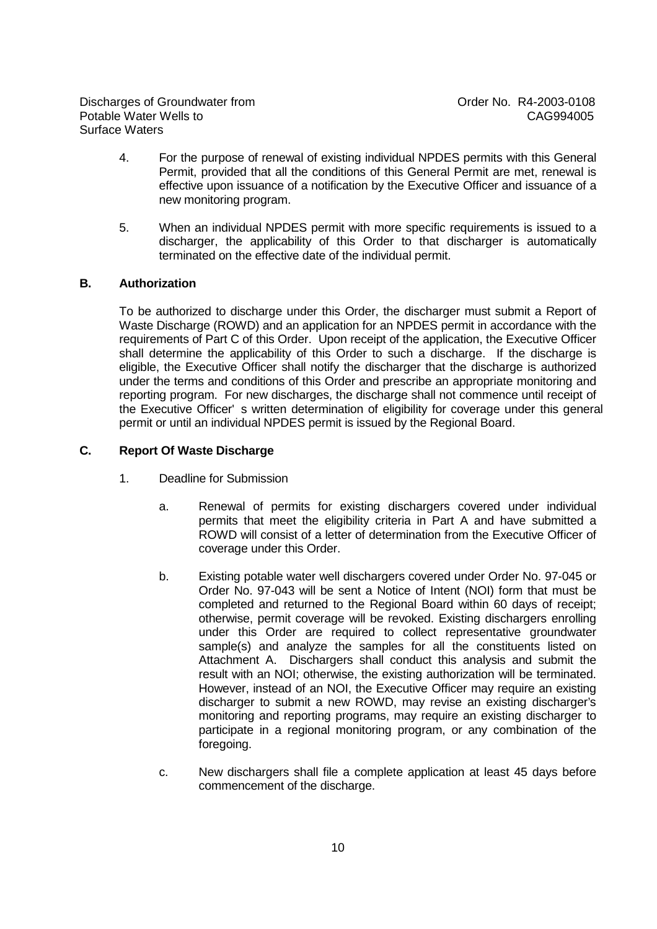- 4. For the purpose of renewal of existing individual NPDES permits with this General Permit, provided that all the conditions of this General Permit are met, renewal is effective upon issuance of a notification by the Executive Officer and issuance of a new monitoring program.
- 5. When an individual NPDES permit with more specific requirements is issued to a discharger, the applicability of this Order to that discharger is automatically terminated on the effective date of the individual permit.

## **B. Authorization**

To be authorized to discharge under this Order, the discharger must submit a Report of Waste Discharge (ROWD) and an application for an NPDES permit in accordance with the requirements of Part C of this Order. Upon receipt of the application, the Executive Officer shall determine the applicability of this Order to such a discharge. If the discharge is eligible, the Executive Officer shall notify the discharger that the discharge is authorized under the terms and conditions of this Order and prescribe an appropriate monitoring and reporting program. For new discharges, the discharge shall not commence until receipt of the Executive Officer' s written determination of eligibility for coverage under this general permit or until an individual NPDES permit is issued by the Regional Board.

## **C. Report Of Waste Discharge**

- 1. Deadline for Submission
	- a. Renewal of permits for existing dischargers covered under individual permits that meet the eligibility criteria in Part A and have submitted a ROWD will consist of a letter of determination from the Executive Officer of coverage under this Order.
	- b. Existing potable water well dischargers covered under Order No. 97-045 or Order No. 97-043 will be sent a Notice of Intent (NOI) form that must be completed and returned to the Regional Board within 60 days of receipt; otherwise, permit coverage will be revoked. Existing dischargers enrolling under this Order are required to collect representative groundwater sample(s) and analyze the samples for all the constituents listed on Attachment A. Dischargers shall conduct this analysis and submit the result with an NOI; otherwise, the existing authorization will be terminated. However, instead of an NOI, the Executive Officer may require an existing discharger to submit a new ROWD, may revise an existing discharger's monitoring and reporting programs, may require an existing discharger to participate in a regional monitoring program, or any combination of the foregoing.
	- c. New dischargers shall file a complete application at least 45 days before commencement of the discharge.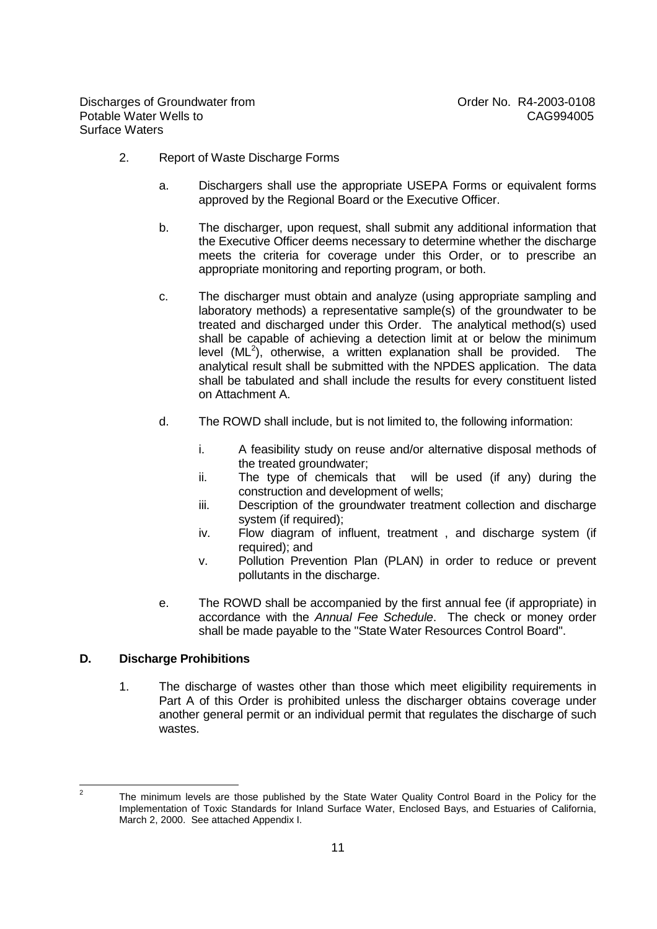- 2. Report of Waste Discharge Forms
	- a. Dischargers shall use the appropriate USEPA Forms or equivalent forms approved by the Regional Board or the Executive Officer.
	- b. The discharger, upon request, shall submit any additional information that the Executive Officer deems necessary to determine whether the discharge meets the criteria for coverage under this Order, or to prescribe an appropriate monitoring and reporting program, or both.
	- c. The discharger must obtain and analyze (using appropriate sampling and laboratory methods) a representative sample(s) of the groundwater to be treated and discharged under this Order. The analytical method(s) used shall be capable of achieving a detection limit at or below the minimum level  $(ML^2)$ , otherwise, a written explanation shall be provided. The analytical result shall be submitted with the NPDES application. The data shall be tabulated and shall include the results for every constituent listed on Attachment A.
	- d. The ROWD shall include, but is not limited to, the following information:
		- i. A feasibility study on reuse and/or alternative disposal methods of the treated groundwater;
		- ii. The type of chemicals that will be used (if any) during the construction and development of wells;
		- iii. Description of the groundwater treatment collection and discharge system (if required);
		- iv. Flow diagram of influent, treatment , and discharge system (if required); and
		- v. Pollution Prevention Plan (PLAN) in order to reduce or prevent pollutants in the discharge.
	- e. The ROWD shall be accompanied by the first annual fee (if appropriate) in accordance with the Annual Fee Schedule. The check or money order shall be made payable to the "State Water Resources Control Board".

# **D. Discharge Prohibitions**

1. The discharge of wastes other than those which meet eligibility requirements in Part A of this Order is prohibited unless the discharger obtains coverage under another general permit or an individual permit that regulates the discharge of such wastes.

 $\frac{1}{2}$ The minimum levels are those published by the State Water Quality Control Board in the Policy for the Implementation of Toxic Standards for Inland Surface Water, Enclosed Bays, and Estuaries of California, March 2, 2000. See attached Appendix I.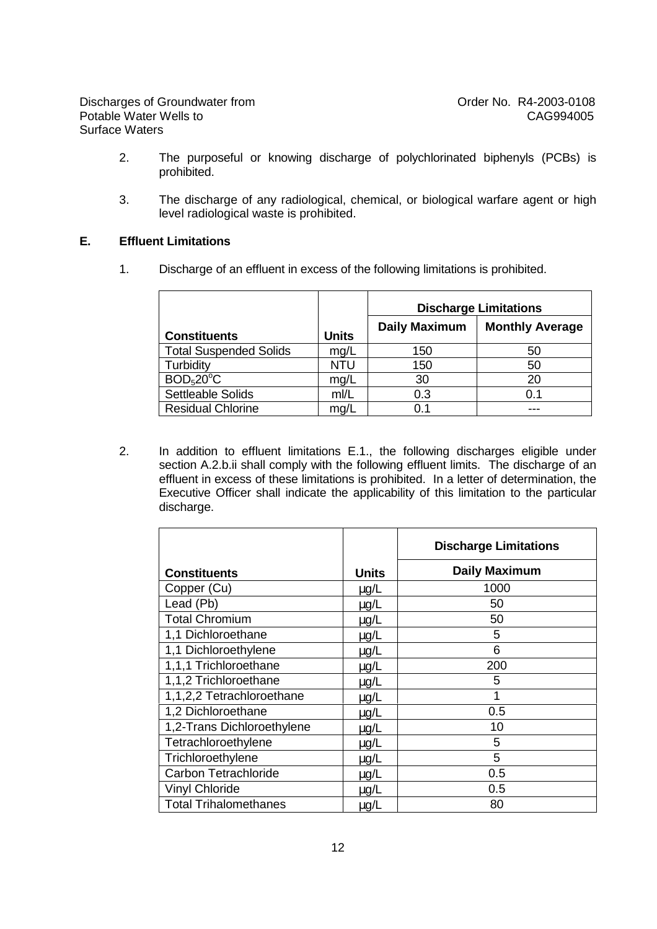- 2. The purposeful or knowing discharge of polychlorinated biphenyls (PCBs) is prohibited.
- 3. The discharge of any radiological, chemical, or biological warfare agent or high level radiological waste is prohibited.

# **E. Effluent Limitations**

1. Discharge of an effluent in excess of the following limitations is prohibited.

|                                    |              | <b>Discharge Limitations</b> |                        |  |
|------------------------------------|--------------|------------------------------|------------------------|--|
| <b>Constituents</b>                | <b>Units</b> | <b>Daily Maximum</b>         | <b>Monthly Average</b> |  |
| <b>Total Suspended Solids</b>      | mq/L         | 150                          | 50                     |  |
| Turbidity                          | <b>NTU</b>   | 150                          | 50                     |  |
| BOD <sub>5</sub> 20 <sup>o</sup> C | mq/L         | 30                           | 20                     |  |
| Settleable Solids                  | m/L          | 0.3                          | 0.1                    |  |
| <b>Residual Chlorine</b>           | mq/L         | ი 1                          |                        |  |

2. In addition to effluent limitations E.1., the following discharges eligible under section A.2.b.ii shall comply with the following effluent limits. The discharge of an effluent in excess of these limitations is prohibited. In a letter of determination, the Executive Officer shall indicate the applicability of this limitation to the particular discharge.

|                              |           | <b>Discharge Limitations</b> |
|------------------------------|-----------|------------------------------|
| <b>Constituents</b>          | Units     | <b>Daily Maximum</b>         |
| Copper (Cu)                  | $\mu$ g/L | 1000                         |
| Lead (Pb)                    | $\mu$ g/L | 50                           |
| <b>Total Chromium</b>        | $\mu$ g/L | 50                           |
| 1,1 Dichloroethane           | $\mu$ g/L | 5                            |
| 1,1 Dichloroethylene         | $\mu$ g/L | 6                            |
| 1,1,1 Trichloroethane        | $\mu$ g/L | 200                          |
| 1,1,2 Trichloroethane        | $\mu$ g/L | 5                            |
| 1,1,2,2 Tetrachloroethane    | $\mu$ g/L | 1                            |
| 1,2 Dichloroethane           | $\mu$ g/L | 0.5                          |
| 1,2-Trans Dichloroethylene   | $\mu$ g/L | 10                           |
| Tetrachloroethylene          | $\mu$ g/L | 5                            |
| Trichloroethylene            | $\mu$ g/L | 5                            |
| <b>Carbon Tetrachloride</b>  | $\mu$ g/L | 0.5                          |
| <b>Vinyl Chloride</b>        | $\mu$ g/L | 0.5                          |
| <b>Total Trihalomethanes</b> | $\mu$ g/L | 80                           |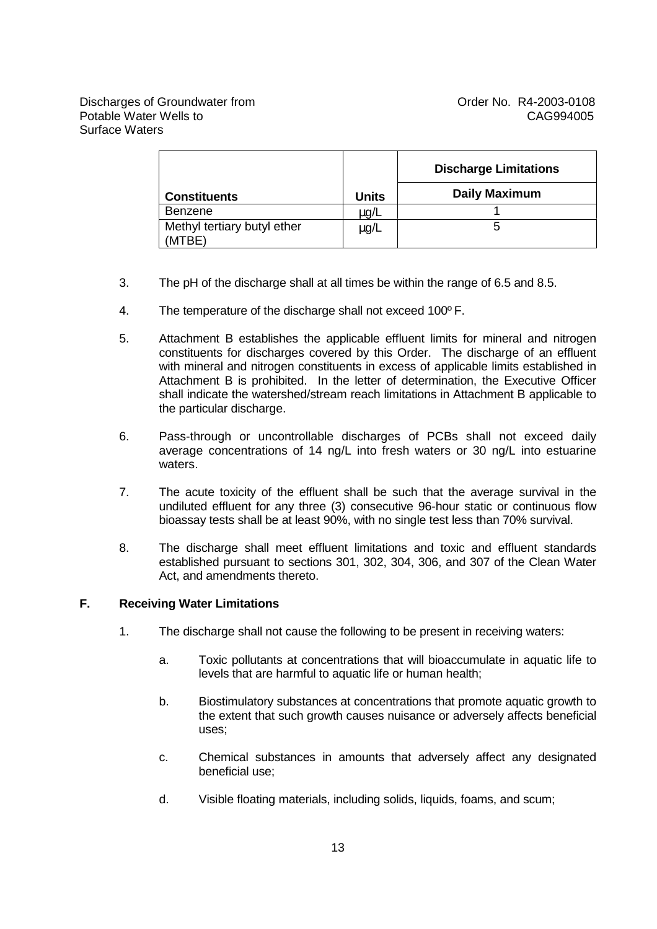|                                       |              | <b>Discharge Limitations</b> |  |
|---------------------------------------|--------------|------------------------------|--|
| <b>Constituents</b>                   | <b>Units</b> | <b>Daily Maximum</b>         |  |
| <b>Benzene</b>                        | μg/L         |                              |  |
| Methyl tertiary butyl ether<br>(MTBE) | $\mu$ g/L    |                              |  |

- 3. The pH of the discharge shall at all times be within the range of 6.5 and 8.5.
- 4. The temperature of the discharge shall not exceed 100º F.
- 5. Attachment B establishes the applicable effluent limits for mineral and nitrogen constituents for discharges covered by this Order. The discharge of an effluent with mineral and nitrogen constituents in excess of applicable limits established in Attachment B is prohibited. In the letter of determination, the Executive Officer shall indicate the watershed/stream reach limitations in Attachment B applicable to the particular discharge.
- 6. Pass-through or uncontrollable discharges of PCBs shall not exceed daily average concentrations of 14 ng/L into fresh waters or 30 ng/L into estuarine waters.
- 7. The acute toxicity of the effluent shall be such that the average survival in the undiluted effluent for any three (3) consecutive 96-hour static or continuous flow bioassay tests shall be at least 90%, with no single test less than 70% survival.
- 8. The discharge shall meet effluent limitations and toxic and effluent standards established pursuant to sections 301, 302, 304, 306, and 307 of the Clean Water Act, and amendments thereto.

## **F. Receiving Water Limitations**

- 1. The discharge shall not cause the following to be present in receiving waters:
	- a. Toxic pollutants at concentrations that will bioaccumulate in aquatic life to levels that are harmful to aquatic life or human health;
	- b. Biostimulatory substances at concentrations that promote aquatic growth to the extent that such growth causes nuisance or adversely affects beneficial uses;
	- c. Chemical substances in amounts that adversely affect any designated beneficial use;
	- d. Visible floating materials, including solids, liquids, foams, and scum;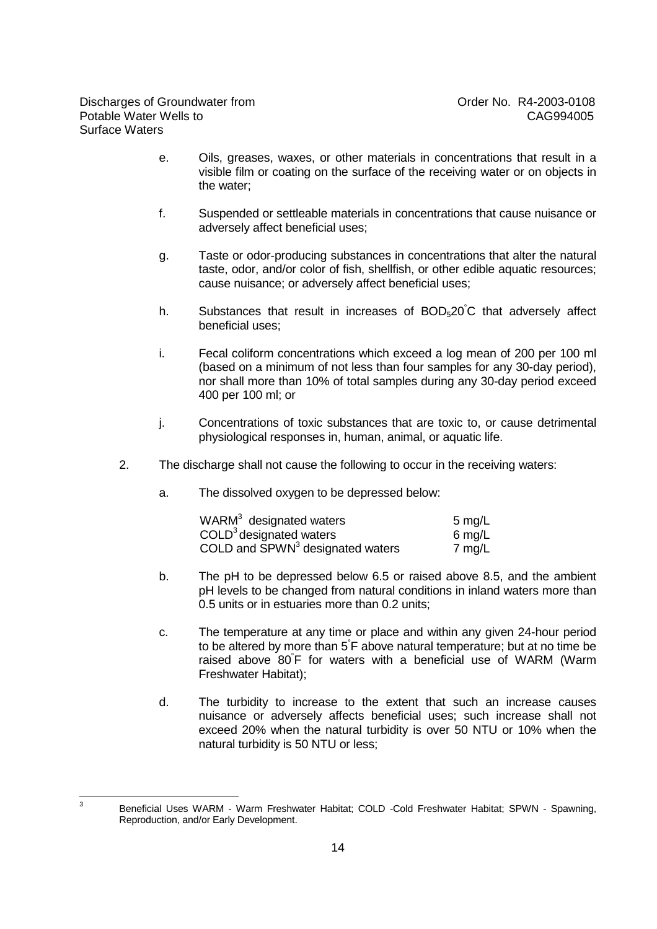- e. Oils, greases, waxes, or other materials in concentrations that result in a visible film or coating on the surface of the receiving water or on objects in the water;
- f. Suspended or settleable materials in concentrations that cause nuisance or adversely affect beneficial uses;
- g. Taste or odor-producing substances in concentrations that alter the natural taste, odor, and/or color of fish, shellfish, or other edible aquatic resources; cause nuisance; or adversely affect beneficial uses;
- h. Substances that result in increases of  $BOD<sub>5</sub>20^{\circ}C$  that adversely affect beneficial uses;
- i. Fecal coliform concentrations which exceed a log mean of 200 per 100 ml (based on a minimum of not less than four samples for any 30-day period), nor shall more than 10% of total samples during any 30-day period exceed 400 per 100 ml; or
- j. Concentrations of toxic substances that are toxic to, or cause detrimental physiological responses in, human, animal, or aquatic life.
- 2. The discharge shall not cause the following to occur in the receiving waters:
	- a. The dissolved oxygen to be depressed below:

| WARM <sup>3</sup> designated waters          | $5 \text{ mg/L}$ |
|----------------------------------------------|------------------|
| $\text{COLD}^3$ designated waters            | 6 mg/L           |
| COLD and SPWN <sup>3</sup> designated waters | $7 \text{ mg/L}$ |

- b. The pH to be depressed below 6.5 or raised above 8.5, and the ambient pH levels to be changed from natural conditions in inland waters more than 0.5 units or in estuaries more than 0.2 units;
- c. The temperature at any time or place and within any given 24-hour period to be altered by more than 5° F above natural temperature; but at no time be raised above 80° F for waters with a beneficial use of WARM (Warm Freshwater Habitat);
- d. The turbidity to increase to the extent that such an increase causes nuisance or adversely affects beneficial uses; such increase shall not exceed 20% when the natural turbidity is over 50 NTU or 10% when the natural turbidity is 50 NTU or less;

-<br>3

Beneficial Uses WARM - Warm Freshwater Habitat; COLD -Cold Freshwater Habitat; SPWN - Spawning, Reproduction, and/or Early Development.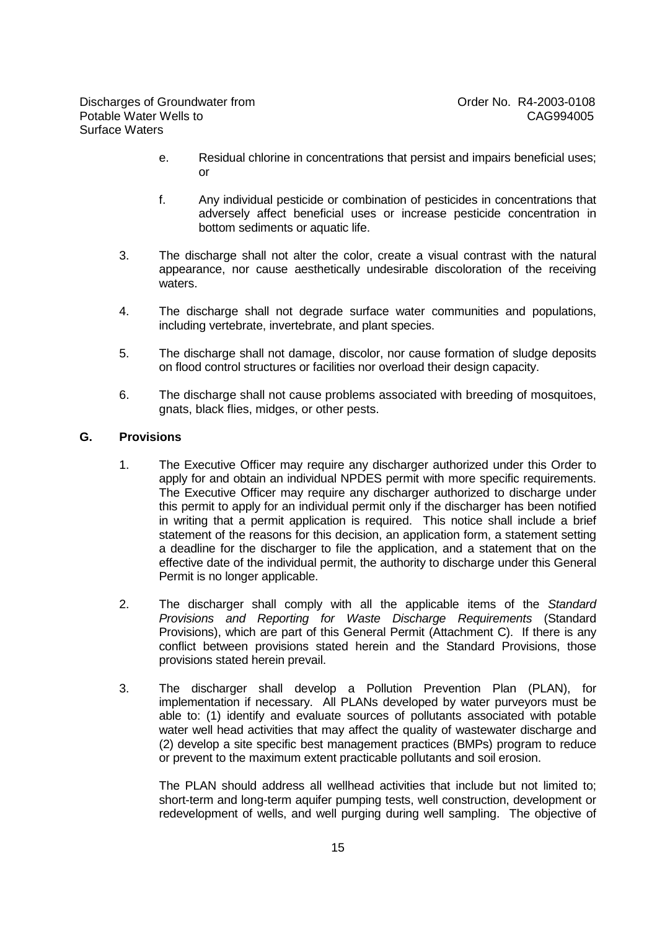- e. Residual chlorine in concentrations that persist and impairs beneficial uses; or
- f. Any individual pesticide or combination of pesticides in concentrations that adversely affect beneficial uses or increase pesticide concentration in bottom sediments or aquatic life.
- 3. The discharge shall not alter the color, create a visual contrast with the natural appearance, nor cause aesthetically undesirable discoloration of the receiving waters.
- 4. The discharge shall not degrade surface water communities and populations, including vertebrate, invertebrate, and plant species.
- 5. The discharge shall not damage, discolor, nor cause formation of sludge deposits on flood control structures or facilities nor overload their design capacity.
- 6. The discharge shall not cause problems associated with breeding of mosquitoes, gnats, black flies, midges, or other pests.

## **G. Provisions**

- 1. The Executive Officer may require any discharger authorized under this Order to apply for and obtain an individual NPDES permit with more specific requirements. The Executive Officer may require any discharger authorized to discharge under this permit to apply for an individual permit only if the discharger has been notified in writing that a permit application is required. This notice shall include a brief statement of the reasons for this decision, an application form, a statement setting a deadline for the discharger to file the application, and a statement that on the effective date of the individual permit, the authority to discharge under this General Permit is no longer applicable.
- 2. The discharger shall comply with all the applicable items of the Standard Provisions and Reporting for Waste Discharge Requirements (Standard Provisions), which are part of this General Permit (Attachment C). If there is any conflict between provisions stated herein and the Standard Provisions, those provisions stated herein prevail.
- 3. The discharger shall develop a Pollution Prevention Plan (PLAN), for implementation if necessary. All PLANs developed by water purveyors must be able to: (1) identify and evaluate sources of pollutants associated with potable water well head activities that may affect the quality of wastewater discharge and (2) develop a site specific best management practices (BMPs) program to reduce or prevent to the maximum extent practicable pollutants and soil erosion.

The PLAN should address all wellhead activities that include but not limited to; short-term and long-term aquifer pumping tests, well construction, development or redevelopment of wells, and well purging during well sampling. The objective of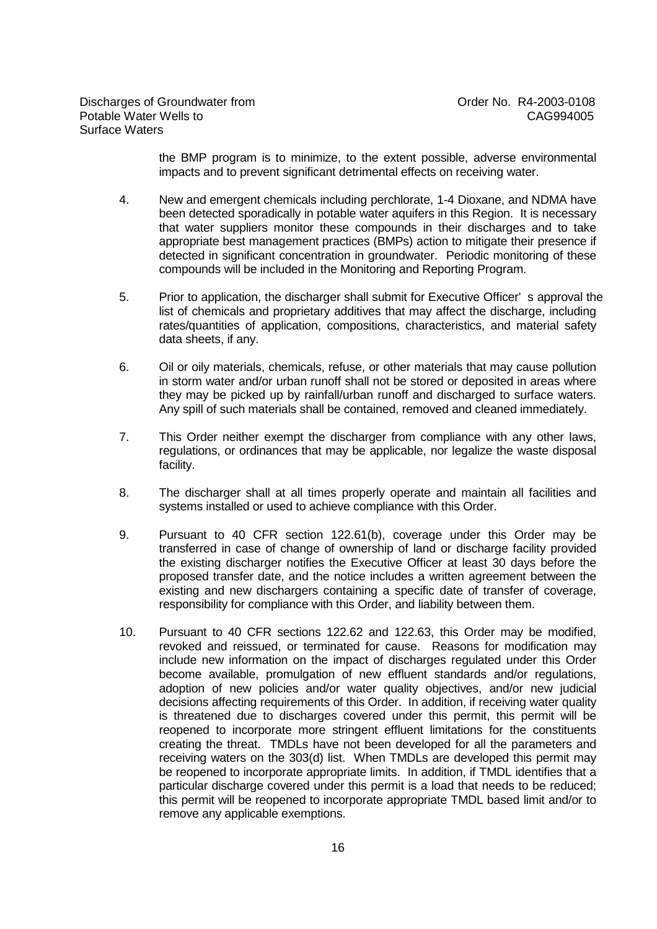the BMP program is to minimize, to the extent possible, adverse environmental impacts and to prevent significant detrimental effects on receiving water.

- 4. New and emergent chemicals including perchlorate, 1-4 Dioxane, and NDMA have been detected sporadically in potable water aquifers in this Region. It is necessary that water suppliers monitor these compounds in their discharges and to take appropriate best management practices (BMPs) action to mitigate their presence if detected in significant concentration in groundwater. Periodic monitoring of these compounds will be included in the Monitoring and Reporting Program.
- 5. Prior to application, the discharger shall submit for Executive Officer' s approval the list of chemicals and proprietary additives that may affect the discharge, including rates/quantities of application, compositions, characteristics, and material safety data sheets, if any.
- 6. Oil or oily materials, chemicals, refuse, or other materials that may cause pollution in storm water and/or urban runoff shall not be stored or deposited in areas where they may be picked up by rainfall/urban runoff and discharged to surface waters. Any spill of such materials shall be contained, removed and cleaned immediately.
- 7. This Order neither exempt the discharger from compliance with any other laws, regulations, or ordinances that may be applicable, nor legalize the waste disposal facility.
- 8. The discharger shall at all times properly operate and maintain all facilities and systems installed or used to achieve compliance with this Order.
- 9. Pursuant to 40 CFR section 122.61(b), coverage under this Order may be transferred in case of change of ownership of land or discharge facility provided the existing discharger notifies the Executive Officer at least 30 days before the proposed transfer date, and the notice includes a written agreement between the existing and new dischargers containing a specific date of transfer of coverage, responsibility for compliance with this Order, and liability between them.
- 10. Pursuant to 40 CFR sections 122.62 and 122.63, this Order may be modified, revoked and reissued, or terminated for cause. Reasons for modification may include new information on the impact of discharges regulated under this Order become available, promulgation of new effluent standards and/or regulations, adoption of new policies and/or water quality objectives, and/or new judicial decisions affecting requirements of this Order. In addition, if receiving water quality is threatened due to discharges covered under this permit, this permit will be reopened to incorporate more stringent effluent limitations for the constituents creating the threat. TMDLs have not been developed for all the parameters and receiving waters on the 303(d) list. When TMDLs are developed this permit may be reopened to incorporate appropriate limits. In addition, if TMDL identifies that a particular discharge covered under this permit is a load that needs to be reduced; this permit will be reopened to incorporate appropriate TMDL based limit and/or to remove any applicable exemptions.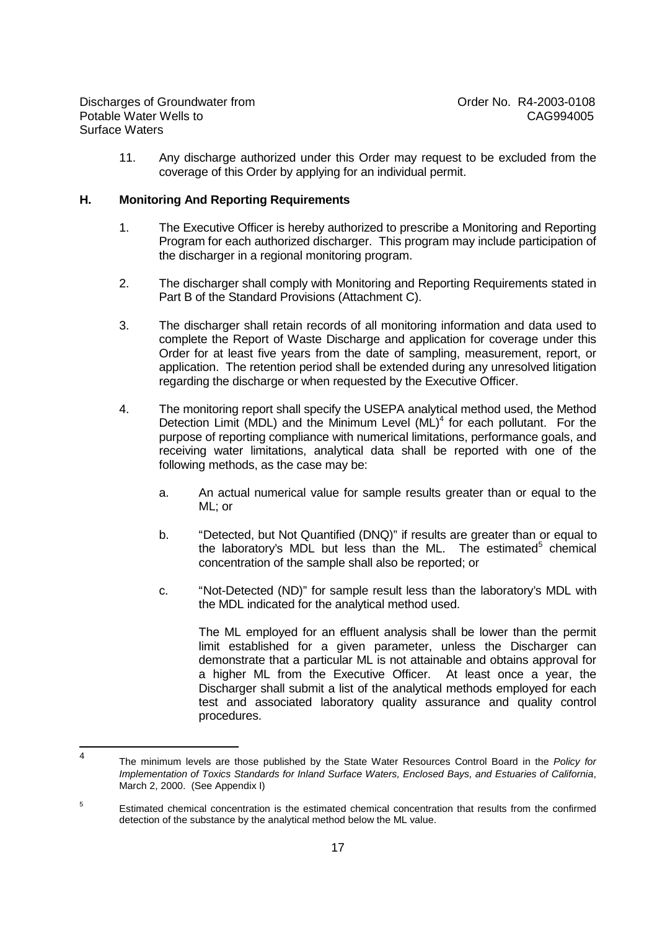11. Any discharge authorized under this Order may request to be excluded from the coverage of this Order by applying for an individual permit.

## **H. Monitoring And Reporting Requirements**

- 1. The Executive Officer is hereby authorized to prescribe a Monitoring and Reporting Program for each authorized discharger. This program may include participation of the discharger in a regional monitoring program.
- 2. The discharger shall comply with Monitoring and Reporting Requirements stated in Part B of the Standard Provisions (Attachment C).
- 3. The discharger shall retain records of all monitoring information and data used to complete the Report of Waste Discharge and application for coverage under this Order for at least five years from the date of sampling, measurement, report, or application. The retention period shall be extended during any unresolved litigation regarding the discharge or when requested by the Executive Officer.
- 4. The monitoring report shall specify the USEPA analytical method used, the Method Detection Limit (MDL) and the Minimum Level  $(ML)^4$  for each pollutant. For the purpose of reporting compliance with numerical limitations, performance goals, and receiving water limitations, analytical data shall be reported with one of the following methods, as the case may be:
	- a. An actual numerical value for sample results greater than or equal to the ML; or
	- b. "Detected, but Not Quantified (DNQ)" if results are greater than or equal to the laboratory's MDL but less than the ML. The estimated<sup>5</sup> chemical concentration of the sample shall also be reported; or
	- c. "Not-Detected (ND)" for sample result less than the laboratory's MDL with the MDL indicated for the analytical method used.

The ML employed for an effluent analysis shall be lower than the permit limit established for a given parameter, unless the Discharger can demonstrate that a particular ML is not attainable and obtains approval for a higher ML from the Executive Officer. At least once a year, the Discharger shall submit a list of the analytical methods employed for each test and associated laboratory quality assurance and quality control procedures.

 $\frac{1}{4}$ The minimum levels are those published by the State Water Resources Control Board in the Policy for Implementation of Toxics Standards for Inland Surface Waters, Enclosed Bays, and Estuaries of California, March 2, 2000. (See Appendix I)

<sup>5</sup> Estimated chemical concentration is the estimated chemical concentration that results from the confirmed detection of the substance by the analytical method below the ML value.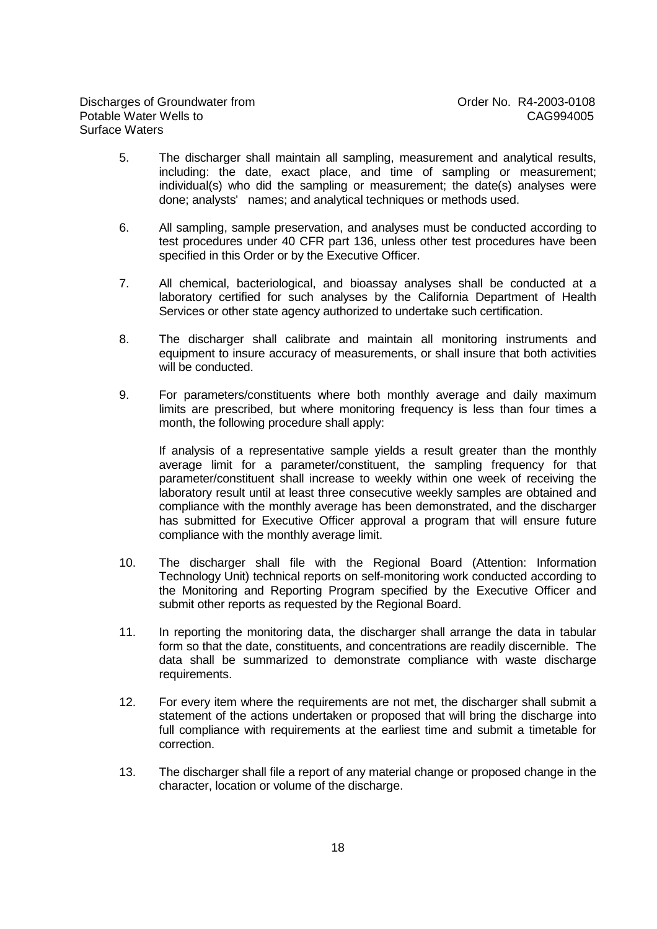- 5. The discharger shall maintain all sampling, measurement and analytical results, including: the date, exact place, and time of sampling or measurement; individual(s) who did the sampling or measurement; the date(s) analyses were done; analysts' names; and analytical techniques or methods used.
- 6. All sampling, sample preservation, and analyses must be conducted according to test procedures under 40 CFR part 136, unless other test procedures have been specified in this Order or by the Executive Officer.
- 7. All chemical, bacteriological, and bioassay analyses shall be conducted at a laboratory certified for such analyses by the California Department of Health Services or other state agency authorized to undertake such certification.
- 8. The discharger shall calibrate and maintain all monitoring instruments and equipment to insure accuracy of measurements, or shall insure that both activities will be conducted.
- 9. For parameters/constituents where both monthly average and daily maximum limits are prescribed, but where monitoring frequency is less than four times a month, the following procedure shall apply:

If analysis of a representative sample yields a result greater than the monthly average limit for a parameter/constituent, the sampling frequency for that parameter/constituent shall increase to weekly within one week of receiving the laboratory result until at least three consecutive weekly samples are obtained and compliance with the monthly average has been demonstrated, and the discharger has submitted for Executive Officer approval a program that will ensure future compliance with the monthly average limit.

- 10. The discharger shall file with the Regional Board (Attention: Information Technology Unit) technical reports on self-monitoring work conducted according to the Monitoring and Reporting Program specified by the Executive Officer and submit other reports as requested by the Regional Board.
- 11. In reporting the monitoring data, the discharger shall arrange the data in tabular form so that the date, constituents, and concentrations are readily discernible. The data shall be summarized to demonstrate compliance with waste discharge requirements.
- 12. For every item where the requirements are not met, the discharger shall submit a statement of the actions undertaken or proposed that will bring the discharge into full compliance with requirements at the earliest time and submit a timetable for correction.
- 13. The discharger shall file a report of any material change or proposed change in the character, location or volume of the discharge.